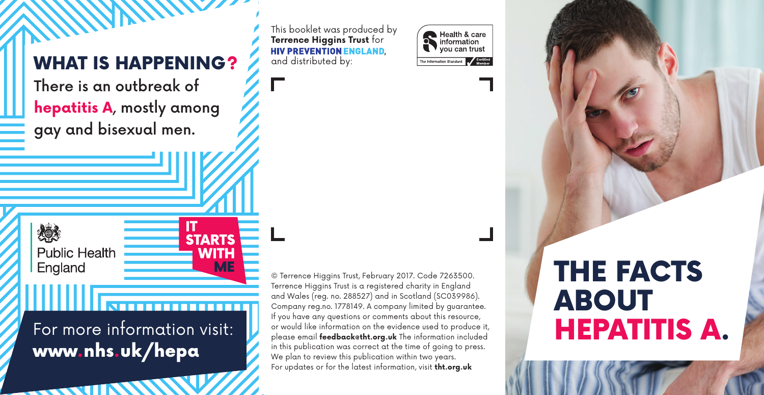# WHAT IS HAPPENING?  $\overline{\mathbf{A}}$  and distributed by:

There is an outbreak of **hepatitis A**, mostly among gay and bisexual men.

This booklet was produced by **Terrence Higgins Trust** for **HIV PREVENTION ENGLAND.** 



THE FACTS ABOUT HEPATITIS A.

For more information visit: www.nhs.uk/hepa

**STARTS** 

**WITH ME** 

燃え

**Public Health** 

England

**All Service** 

© Terrence Higgins Trust, February 2017. Code 7263500. Terrence Higgins Trust is a registered charity in England and Wales (reg. no. 288527) and in Scotland (SC039986). Company reg.no. 1778149. A company limited by guarantee. If you have any questions or comments about this resource, or would like information on the evidence used to produce it, please email **feedback@tht.org.uk** The information included in this publication was correct at the time of going to press. We plan to review this publication within two years. For updates or for the latest information, visit **tht.org.uk**